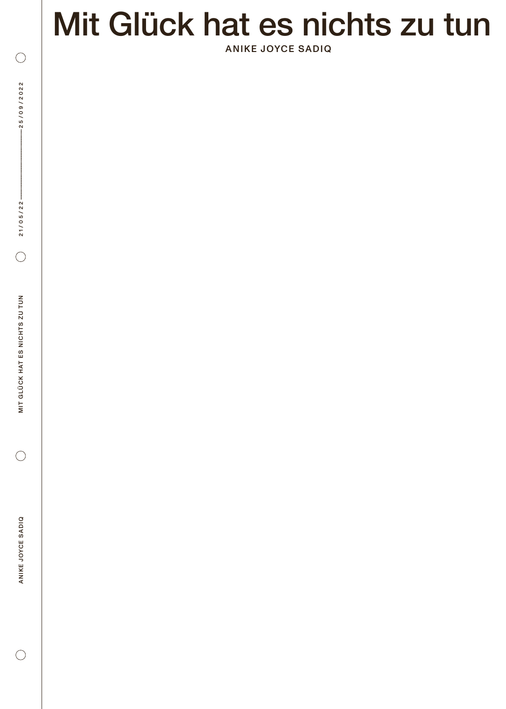# Mit Glück hat es nichts zu tun *.*

ANIKE JOYCE SADIQ

 $\bigcirc$ 

 $\bigcirc$ 

 $\bigcirc$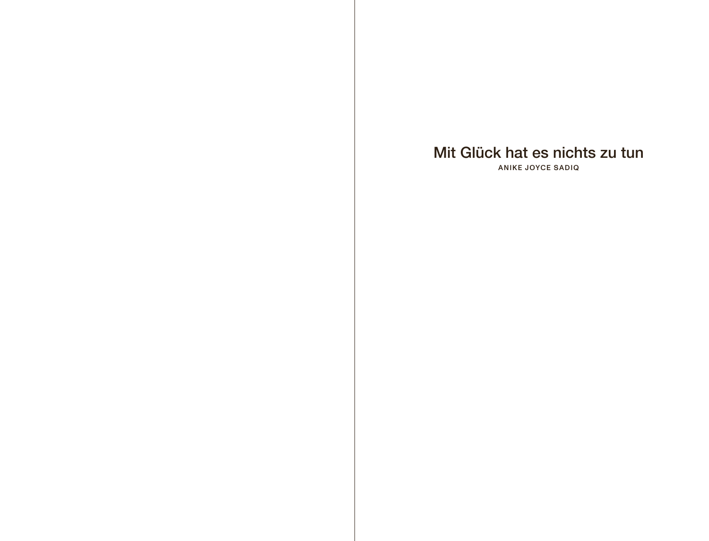#### Mit Glück hat es nichts zu tun

ANIKE JOYCE SADIQ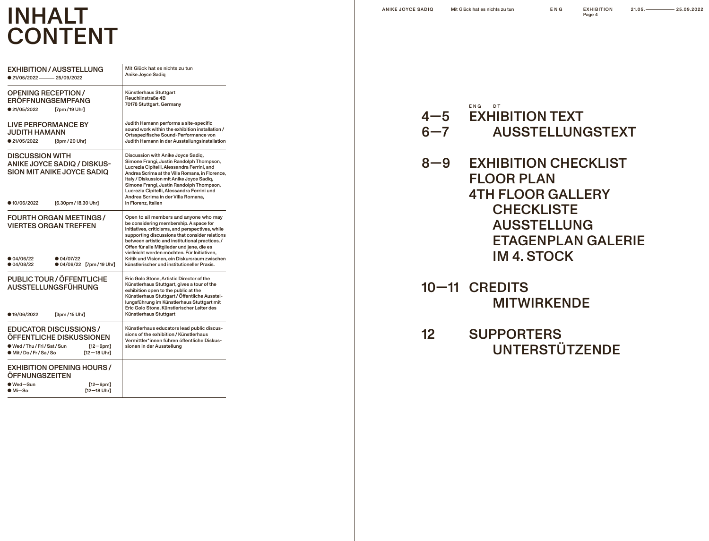## INHALT CONTENT

| <b>EXHIBITION / AUSSTELLUNG</b><br>$21/05/2022$ 25/09/2022                                                                                                      | Mit Glück hat es nichts zu tun<br>Anike Joyce Sadiq                                                                                                                                                                                                                                                                                                                                                                                   |
|-----------------------------------------------------------------------------------------------------------------------------------------------------------------|---------------------------------------------------------------------------------------------------------------------------------------------------------------------------------------------------------------------------------------------------------------------------------------------------------------------------------------------------------------------------------------------------------------------------------------|
| <b>OPENING RECEPTION/</b><br><b>ERÖFFNUNGSEMPFANG</b><br>● 21/05/2022<br>[7pm/19 Uhr]                                                                           | Künstlerhaus Stuttgart<br>Reuchlinstraße 4B<br>70178 Stuttgart, Germany                                                                                                                                                                                                                                                                                                                                                               |
| <b>LIVE PERFORMANCE BY</b><br><b>JUDITH HAMANN</b><br>● 21/05/2022<br>[8pm / 20 Uhr]                                                                            | Judith Hamann performs a site-specific<br>sound work within the exhibition installation /<br>Ortsspezifische Sound-Performance von<br>Judith Hamann in der Ausstellungsinstallation                                                                                                                                                                                                                                                   |
| <b>DISCUSSION WITH</b><br><b>ANIKE JOYCE SADIQ / DISKUS-</b><br><b>SION MIT ANIKE JOYCE SADIQ</b><br>● 10/06/2022<br>[6.30pm / 18.30 Uhr]                       | Discussion with Anike Joyce Sadiq,<br>Simone Frangi, Justin Randolph Thompson,<br>Lucrezia Cipitelli, Alessandra Ferrini, and<br>Andrea Scrima at the Villa Romana, in Florence,<br>Italy / Diskussion mit Anike Joyce Sadig,<br>Simone Frangi, Justin Randolph Thompson,<br>Lucrezia Cipitelli, Alessandra Ferrini und<br>Andrea Scrima in der Villa Romana.<br>in Florenz, Italien                                                  |
| <b>FOURTH ORGAN MEETINGS /</b><br><b>VIERTES ORGAN TREFFEN</b><br>$\bullet$ 04/06/22<br>$\bullet$ 04/07/22<br>● 04/08/22<br>● 04/09/22 【7pm / 19 Uhr】           | Open to all members and anyone who may<br>be considering membership. A space for<br>initiatives, criticisms, and perspectives, while<br>supporting discussions that consider relations<br>between artistic and institutional practices./<br>Offen für alle Mitglieder und jene, die es<br>vielleicht werden möchten. Für Initiativen,<br>Kritik und Visionen, ein Diskursraum zwischen<br>künstlerischer und institutioneller Praxis. |
| PUBLIC TOUR / ÖFFENTLICHE<br><b>AUSSTELLUNGSFÜHRUNG</b><br>● 19/06/2022<br>[3pm/15 Uhr]                                                                         | Eric Golo Stone, Artistic Director of the<br>Künstlerhaus Stuttgart, gives a tour of the<br>exhibition open to the public at the<br>Künstlerhaus Stuttgart / Öffentliche Ausstel-<br>lungsführung im Künstlerhaus Stuttgart mit<br>Eric Golo Stone, Künstlerischer Leiter des<br>Künstlerhaus Stuttgart                                                                                                                               |
| <b>EDUCATOR DISCUSSIONS/</b><br>ÖFFENTLICHE DISKUSSIONEN<br>● Wed / Thu / Fri / Sat / Sun<br>$[12-6pm]$<br>● Mit / Do / Fr / Sa / So<br>$[12 - 18 \text{ Uhr}]$ | Künstlerhaus educators lead public discus-<br>sions of the exhibition / Künstlerhaus<br>Vermittler*innen führen öffentliche Diskus-<br>sionen in der Ausstellung                                                                                                                                                                                                                                                                      |
| <b>EXHIBITION OPENING HOURS/</b><br>ÖFFNUNGSZEITEN<br>$\bullet$ Wed-Sun<br>$[12-6pm]$<br>$OMi-So$<br>[12-18 Uhr]                                                |                                                                                                                                                                                                                                                                                                                                                                                                                                       |

ENG EXHIBITION Page 4

#### ENG DT 4—5 EXHIBITION TEXT

- 6—7 AUSSTELLUNGSTEXT
- 8—9 EXHIBITION CHECKLIST FLOOR PLAN 4TH FLOOR GALLERY **CHECKLISTE**  AUSSTELLUNG ETAGENPLAN GALERIE IM 4. STOCK
- 10—11 CREDITS MITWIRKENDE
- 12 SUPPORTERS UNTERSTÜTZENDE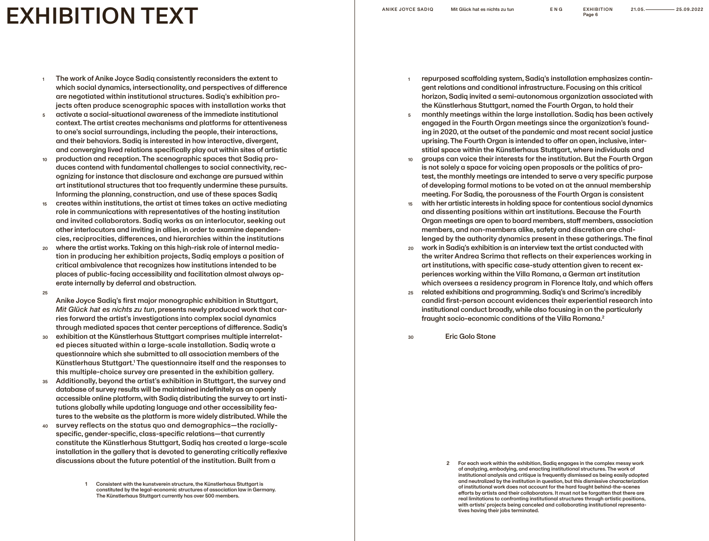# EXHIBITION TEXT

ENG EXHIBITION Page 6

- The work of Anike Joyce Sadiq consistently reconsiders the extent to which social dynamics, intersectionality, and perspectives of difference are negotiated within institutional structures. Sadiq's exhibition projects often produce scenographic spaces with installation works that 1
- activate a social-situational awareness of the immediate institutional context. The artist creates mechanisms and platforms for attentiveness to one's social surroundings, including the people, their interactions, and their behaviors. Sadiq is interested in how interactive, divergent, and converging lived relations specifically play out within sites of artistic 5
- production and reception. The scenographic spaces that Sadiq produces contend with fundamental challenges to social connectivity, recognizing for instance that disclosure and exchange are pursued within art institutional structures that too frequently undermine these pursuits. Informing the planning, construction, and use of these spaces Sadiq 10
- creates within institutions, the artist at times takes an active mediating role in communications with representatives of the hosting institution and invited collaborators. Sadiq works as an interlocutor, seeking out other interlocutors and inviting in allies, in order to examine dependencies, reciprocities, differences, and hierarchies within the institutions 15
- where the artist works. Taking on this high-risk role of internal mediation in producing her exhibition projects, Sadiq employs a position of critical ambivalence that recognizes how institutions intended to be places of public-facing accessibility and facilitation almost always operate internally by deferral and obstruction. 20
- 25
- Anike Joyce Sadiq's first major monographic exhibition in Stuttgart, *Mit Glück hat es nichts zu tun*, presents newly produced work that carries forward the artist's investigations into complex social dynamics through mediated spaces that center perceptions of difference. Sadiq's
- exhibition at the Künstlerhaus Stuttgart comprises multiple interrelated pieces situated within a large-scale installation. Sadiq wrote a questionnaire which she submitted to all association members of the Künstlerhaus Stuttgart.<sup>1</sup> The questionnaire itself and the responses to this multiple-choice survey are presented in the exhibition gallery. 30
- Additionally, beyond the artist's exhibition in Stuttgart, the survey and database of survey results will be maintained indefinitely as an openly accessible online platform, with Sadiq distributing the survey to art institutions globally while updating language and other accessibility features to the website as the platform is more widely distributed. While the 35
- survey reflects on the status quo and demographics—the raciallyspecific, gender-specific, class-specific relations—that currently constitute the Künstlerhaus Stuttgart, Sadiq has created a large-scale installation in the gallery that is devoted to generating critically reflexive discussions about the future potential of the institution. Built from a 40
- repurposed scaffolding system, Sadiq's installation emphasizes contingent relations and conditional infrastructure. Focusing on this critical horizon, Sadiq invited a semi-autonomous organization associated with the Künstlerhaus Stuttgart, named the Fourth Organ, to hold their 1
- monthly meetings within the large installation. Sadiq has been actively engaged in the Fourth Organ meetings since the organization's founding in 2020, at the outset of the pandemic and most recent social justice uprising. The Fourth Organ is intended to offer an open, inclusive, interstitial space within the Künstlerhaus Stuttgart, where individuals and 5
- groups can voice their interests for the institution. But the Fourth Organ is not solely a space for voicing open proposals or the politics of protest, the monthly meetings are intended to serve a very specific purpose of developing formal motions to be voted on at the annual membership meeting. For Sadiq, the porousness of the Fourth Organ is consistent 10
- with her artistic interests in holding space for contentious social dynamics and dissenting positions within art institutions. Because the Fourth Organ meetings are open to board members, staff members, association members, and non-members alike, safety and discretion are challenged by the authority dynamics present in these gatherings. The final 15
- work in Sadiq's exhibition is an interview text the artist conducted with the writer Andrea Scrima that reflects on their experiences working in art institutions, with specific case-study attention given to recent experiences working within the Villa Romana, a German art institution which oversees a residency program in Florence Italy, and which offers 20
- related exhibitions and programming. Sadiq's and Scrima's incredibly candid first-person account evidences their experiential research into institutional conduct broadly, while also focusing in on the particularly fraught socio-economic conditions of the Villa Romana.2 25
- Eric Golo Stone 30

<sup>1</sup> Consistent with the kunstverein structure, the Künstlerhaus Stuttgart is constituted by the legal-economic structures of association law in Germany. The Künstlerhaus Stuttgart currently has over 500 members.

<sup>2</sup> For each work within the exhibition, Sadiq engages in the complex messy work of analyzing, embodying, and enacting institutional structures. The work of institutional analysis and critique is frequently dismissed as being easily adopted and neutralized by the institution in question, but this dismissive characterization of institutional work does not account for the hard fought behind-the-scenes efforts by artists and their collaborators. It must not be forgotten that there are real limitations to confronting institutional structures through artistic positions, with artists' projects being canceled and collaborating institutional representa tives having their jobs terminated.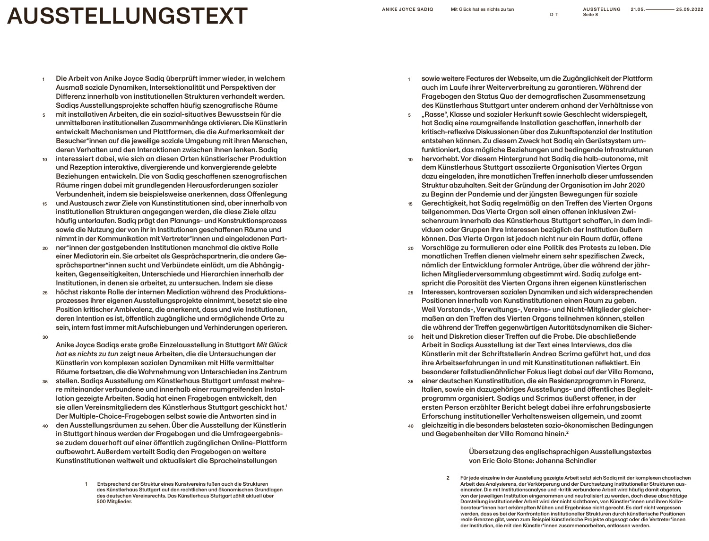## **AUSSTELLUNGSTEXT**

- Die Arbeit von Anike Joyce Sadiq überprüft immer wieder, in welchem Ausmaß soziale Dynamiken, Intersektionalität und Perspektiven der Differenz innerhalb von institutionellen Strukturen verhandelt werden. Sadiqs Ausstellungsprojekte schaffen häufig szenografische Räume 1
- mit installativen Arbeiten, die ein sozial-situatives Bewusstsein für die unmittelbaren institutionellen Zusammenhänge aktivieren. Die Künstlerin entwickelt Mechanismen und Plattformen, die die Aufmerksamkeit der Besucher\*innen auf die jeweilige soziale Umgebung mit ihren Menschen, deren Verhalten und den Interaktionen zwischen ihnen lenken. Sadiq 5
- interessiert dabei, wie sich an diesen Orten künstlerischer Produktion und Rezeption interaktive, divergierende und konvergierende gelebte Beziehungen entwickeln. Die von Sadiq geschaffenen szenografischen Räume ringen dabei mit grundlegenden Herausforderungen sozialer Verbundenheit, indem sie beispielsweise anerkennen, dass Offenlegung 10
- und Austausch zwar Ziele von Kunstinstitutionen sind, aber innerhalb von institutionellen Strukturen angegangen werden, die diese Ziele allzu häufig unterlaufen. Sadiq prägt den Planungs- und Konstruktionsprozess sowie die Nutzung der von ihr in Institutionen geschaffenen Räume und nimmt in der Kommunikation mit Vertreter\*innen und eingeladenen Part-15
- ner\*innen der gastgebenden Institutionen manchmal die aktive Rolle einer Mediatorin ein. Sie arbeitet als Gesprächspartnerin, die andere Gesprächspartner\*innen sucht und Verbündete einlädt, um die Abhängigkeiten, Gegenseitigkeiten, Unterschiede und Hierarchien innerhalb der Institutionen, in denen sie arbeitet, zu untersuchen. Indem sie diese 20
- höchst riskante Rolle der internen Mediation während des Produktionsprozesses ihrer eigenen Ausstellungsprojekte einnimmt, besetzt sie eine Position kritischer Ambivalenz, die anerkennt, dass und wie Institutionen, deren Intention es ist, öffentlich zugängliche und ermöglichende Orte zu sein, intern fast immer mit Aufschiebungen und Verhinderungen operieren. 25
- 30

Anike Joyce Sadiqs erste große Einzelausstellung in Stuttgart *Mit Glück hat es nichts zu tun* zeigt neue Arbeiten, die die Untersuchungen der Künstlerin von komplexen sozialen Dynamiken mit Hilfe vermittelter Räume fortsetzen, die die Wahrnehmung von Unterschieden ins Zentrum

- stellen. Sadiqs Ausstellung am Künstlerhaus Stuttgart umfasst mehrere miteinander verbundene und innerhalb einer raumgreifenden Installation gezeigte Arbeiten. Sadiq hat einen Fragebogen entwickelt, den sie allen Vereinsmitgliedern des Künstlerhaus Stuttgart geschickt hat.1 Der Multiple-Choice-Fragebogen selbst sowie die Antworten sind in 35
- den Ausstellungsräumen zu sehen. Über die Ausstellung der Künstlerin in Stuttgart hinaus werden der Fragebogen und die Umfrageergebnisse zudem dauerhaft auf einer öffentlich zugänglichen Online-Plattform aufbewahrt. Außerdem verteilt Sadiq den Fragebogen an weitere Kunstinstitutionen weltweit und aktualisiert die Spracheinstellungen 40
	- 1 Entsprechend der Struktur eines Kunstvereins fußen auch die Strukturen des Künstlerhaus Stuttgart auf den rechtlichen und ökonomischen Grundlagen des deutschen Vereinsrechts. Das Künstlerhaus Stuttgart zählt aktuell über 500 Mitglieder.

sowie weitere Features der Webseite, um die Zugänglichkeit der Plattform auch im Laufe ihrer Weiterverbreitung zu garantieren. Während der Fragebogen den Status Quo der demografischen Zusammensetzung des Künstlerhaus Stuttgart unter anderem anhand der Verhältnisse von 1

D T

- "Rasse", Klasse und sozialer Herkunft sowie Geschlecht widerspiegelt, hat Sadiq eine raumgreifende Installation geschaffen, innerhalb der kritisch-reflexive Diskussionen über das Zukunftspotenzial der Institution entstehen können. Zu diesem Zweck hat Sadiq ein Gerüstsystem umfunktioniert, das mögliche Beziehungen und bedingende Infrastrukturen 5
- hervorhebt. Vor diesem Hintergrund hat Sadiq die halb-autonome, mit dem Künstlerhaus Stuttgart assoziierte Organisation Viertes Organ dazu eingeladen, ihre monatlichen Treffen innerhalb dieser umfassenden Struktur abzuhalten. Seit der Gründung der Organisation im Jahr 2020 zu Beginn der Pandemie und der jüngsten Bewegungen für soziale 10
- Gerechtigkeit, hat Sadiq regelmäßig an den Treffen des Vierten Organs teilgenommen. Das Vierte Organ soll einen offenen inklusiven Zwischenraum innerhalb des Künstlerhaus Stuttgart schaffen, in dem Individuen oder Gruppen ihre Interessen bezüglich der Institution äußern können. Das Vierte Organ ist jedoch nicht nur ein Raum dafür, offene 15
- Vorschläge zu formulieren oder eine Politik des Protests zu leben. Die monatlichen Treffen dienen vielmehr einem sehr spezifischen Zweck, nämlich der Entwicklung formaler Anträge, über die während der jährlichen Mitgliederversammlung abgestimmt wird. Sadiq zufolge entspricht die Porosität des Vierten Organs ihren eigenen künstlerischen 20
- Interessen, kontroversen sozialen Dynamiken und sich widersprechenden Positionen innerhalb von Kunstinstitutionen einen Raum zu geben. Weil Vorstands-, Verwaltungs-, Vereins- und Nicht-Mitglieder gleichermaßen an den Treffen des Vierten Organs teilnehmen können, stellen die während der Treffen gegenwärtigen Autoritätsdynamiken die Sicher-25
- heit und Diskretion dieser Treffen auf die Probe. Die abschließende Arbeit in Sadiqs Ausstellung ist der Text eines Interviews, das die Künstlerin mit der Schriftstellerin Andrea Scrima geführt hat, und das ihre Arbeitserfahrungen in und mit Kunstinstitutionen reflektiert. Ein besonderer fallstudienähnlicher Fokus liegt dabei auf der Villa Romana, 30
- einer deutschen Kunstinstitution, die ein Residenzprogramm in Florenz, Italien, sowie ein dazugehöriges Ausstellungs- und öffentliches Begleitprogramm organisiert. Sadiqs und Scrimas äußerst offener, in der ersten Person erzählter Bericht belegt dabei ihre erfahrungsbasierte Erforschung institutioneller Verhaltensweisen allgemein, und zoomt 35
- gleichzeitig in die besonders belasteten sozio-ökonomischen Bedingungen und Gegebenheiten der Villa Romana hinein.<sup>2</sup> 40

Übersetzung des englischsprachigen Ausstellungstextes von Eric Golo Stone: Johanna Schindler

2 Für jede einzelne in der Ausstellung gezeigte Arbeit setzt sich Sadiq mit der komplexen chaotischen Arbeit des Analysierens, der Verkörperung und der Durchsetzung institutioneller Strukturen aus einander. Die mit Institutionsanalyse und -kritik verbundene Arbeit wird häufig damit abgetan, von der jeweiligen Institution eingenommen und neutralisiert zu werden, doch diese abschätzige Darstellung institutioneller Arbeit wird der nicht sichtbaren, von Künstler\*innen und ihren Kolla borateur\*innen hart erkämpften Mühen und Ergebnisse nicht gerecht. Es darf nicht vergessen werden, dass es bei der Konfrontation institutioneller Strukturen durch künstlerische Positionen reale Grenzen gibt, wenn zum Beispiel künstlerische Projekte abgesagt oder die Vertreter\*innen der Institution, die mit den Künstler\*innen zusammenarbeiten, entlassen werden.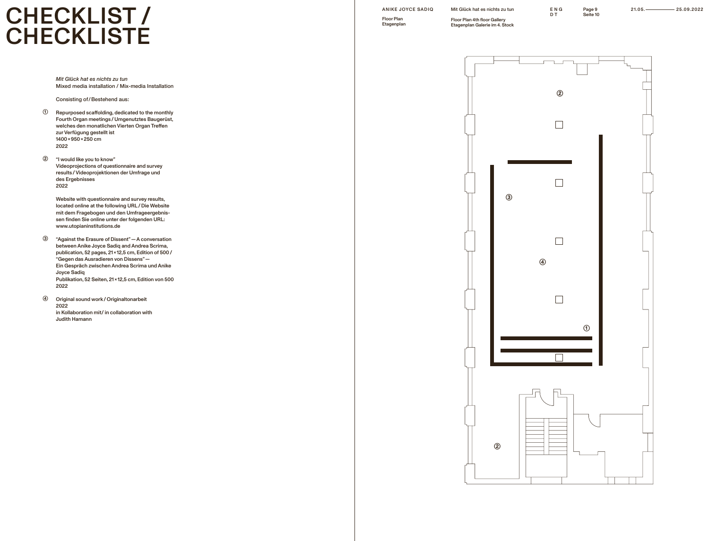## $\text{CHECKLIST}$  anike Jo **CHECKLISTE**

*Mit Glück hat es nichts zu tun*  Mixed media installation / Mix-media Installation

Consisting of/Bestehend aus:

- Repurposed scaffolding, dedicated to the monthly Fourth Organ meetings / Umgenutztes Baugerüst, welches den monatlichen Vierten Organ Treffen zur Verfügung gestellt ist 1400 x 950 x 250 cm 2022  $\odot$
- "I would like you to know" Videoprojections of questionnaire and survey results / Videoprojektionen der Umfrage und des Ergebnisses 2022 ②

Website with questionnaire and survey results, located online at the following URL / Die Website mit dem Fragebogen und den Umfrageergebnissen finden Sie online unter der folgenden URL: www.utopianinstitutions.de

- "Against the Erasure of Dissent" — A conversation between Anike Joyce Sadiq and Andrea Scrima, publication, 52 pages, 21 x 12,5 cm, Edition of 500 / "Gegen das Ausradieren von Dissens" —  Ein Gespräch zwischen Andrea Scrima und Anike Joyce Sadiq Publikation, 52 Seiten, 21 x 12,5 cm, Edition von 500 2022 ③
- Original sound work / Originaltonarbeit 2022 in Kollaboration mit/ in collaboration with Judith Hamann ④

Floor Plan 4th floor Gallery Etagenplan Galerie im 4. Stock Page 9<br>Seite 10

ENG D T

ANIKE JOYCE SADIQ Mit Glück hat es nichts zu tun ENG Page 9 21.05. 25.09.2022

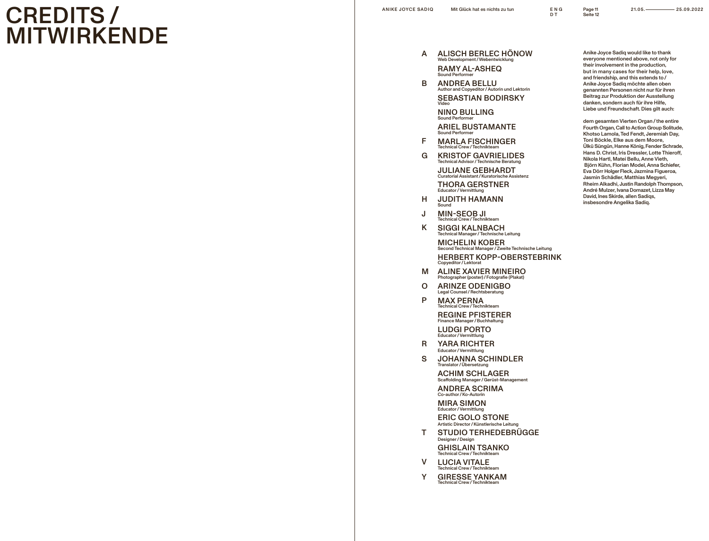## CREDITS / MITWIRKENDE

Page 11 Seite 12

- ALISCH BERLEC HÖNOW A Web Development / Webentwicklung RAMY AL-ASHEQ Sound Perfo
- ABFGHJKM B ANDREA BELLU Author and Copyeditor / Autorin und Lektorin SEBASTIAN BODIRSKY Video NINO BULLING Sound Perfo

ARIEL BUSTAMANTE Sound Performer

 $\mathsf{F}$ MARLA FISCHINGER Technical Crew / Techniktea

G KRISTOF GAVRIELIDES Technical Advisor / Technische Beratung JULIANE GEBHARDT

Curatorial Assistant / Kuratorische Assistenz THORA GERSTNER Educator / Vermittlung

- Н JUDITH HAMANN Sound
- J MIN-SEOB JI Technical Crew / Technikteam
- K SIGGI KALNBACH Technical Manager / Technische Leitung

MICHELIN KOBER Second Technical Manager / Zweite Technische Leitung HERBERT KOPP-OBERSTEBRINK Copyeditor / Lektorat

- M ALINE XAVIER MINEIRO Photographer (poster) / Fotografie (Plakat)
- $\mathbf O$ ARINZE ODENIGBO Legal Counsel / Rechtsberatung
- P MAX PERNA Technical Crew / Technikteam REGINE PFISTERER Finance Manager / Buchhalt

LUDGI PORTO Educator / Vermittlung

- O PRS TVY R YARA RICHTER Educator / Vermittlung
- $\mathbf S$ JOHANNA SCHINDLER Translator / Übersetzung

ACHIM SCHLAGER Scaffolding Manager / Gerüst-Management

ANDREA SCRIMA o-author/**Ko-Auto** 

MIRA SIMON Educator / Vermittlung ERIC GOLO STONE Artistic Director / Künstlerische Leitung

STUDIO TERHEDEBRÜGGE T. Designer / Design

GHISLAIN TSANKO Technical Crew / Technikte

- $\mathsf{V}$ LUCIA VITALE **Technical Crew** / Technikte
- GIRESSE YANKAM  $\mathsf{Y}$ Technical Crew / Technikte

Anike Joyce Sadiq would like to thank everyone mentioned above, not only for their involvement in the production, but in many cases for their help, love, and friendship, and this extends to / Anike Joyce Sadiq möchte allen oben genannten Personen nicht nur für ihren Beitrag zur Produktion der Ausstellung danken, sondern auch für ihre Hilfe, Liebe und Freundschaft. Dies gilt auch:

dem gesamten Vierten Organ / the entire Fourth Organ, Call to Action Group Solitude, Khotso Lamola, Ted Fendt, Jeremiah Day, Toni Böckle, Elke aus dem Moore, Ülkü Süngün, Hanne König, Fender Schrade, Hans D. Christ, Iris Dressler, Lotte Thieroff, Nikola Hartl, Matei Bellu, Anne Vieth, Björn Kühn, Florian Model, Anna Schiefer, Eva Dörr Holger Fleck, Jazmina Figueroa, Jasmin Schädler, Matthias Megyeri, Rheim Alkadhi, Justin Randolph Thompson, André Mulzer, Ivana Domazet, Lizza May David, Ines Skirde, allen Sadiqs, insbesondre Angelika Sadiq.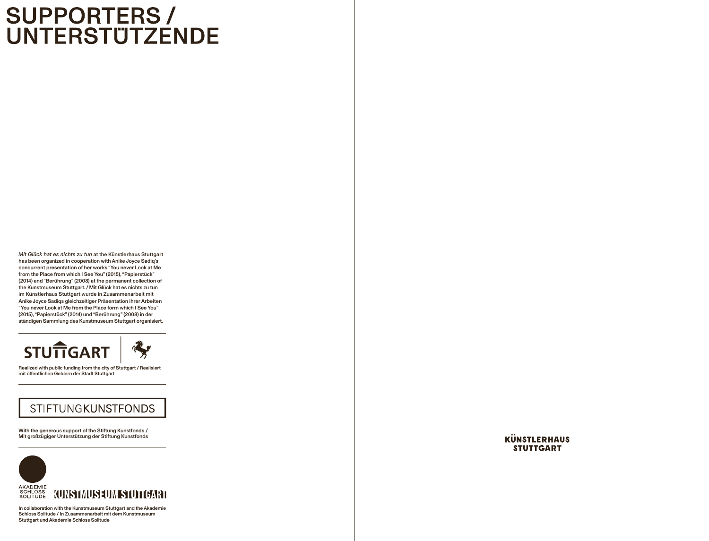# **SUPPORTERS /<br>UNTERSTÜTZENDE**

*Mit Glück hat es nichts zu tun* at the Künstlerhaus Stuttgart has been organized in cooperation with Anike Joyce Sadiq's concurrent presentation of her works "You never Look at Me from the Place from which I See You" (2015), "Papierstück" (2014) and "Berührung" (2008) at the permanent collection of the Kunstmuseum Stuttgart. / Mit Glück hat es nichts zu tun im Künstlerhaus Stuttgart wurde in Zusammenarbeit mit Anike Joyce Sadiqs gleichzeitiger Präsentation ihrer Arbeiten "You never Look at Me from the Place form which I See You" (2015), "Papierstück" (2014) und "Berührung" (2008) in der ständigen Sammlung des Kunstmuseum Stuttgart organisiert.



Realized with public funding from the city of Stuttgart / Realisiert mit öffentlichen Geldern der Stadt Stuttgart

#### **STIFTUNGKUNSTFONDS**

With the generous support of the Stiftung Kunstfonds  /  Mit großzügiger Unterstützung der Stiftung Kunstfonds



In collaboration with the Kunstmuseum Stuttgart and the Akademie Schloss Solitude / In Zusammenarbeit mit dem Kunstmuseum Stuttgart und Akademie Schloss Solitude

**KÜNSTLERHAUS STUTTGART**